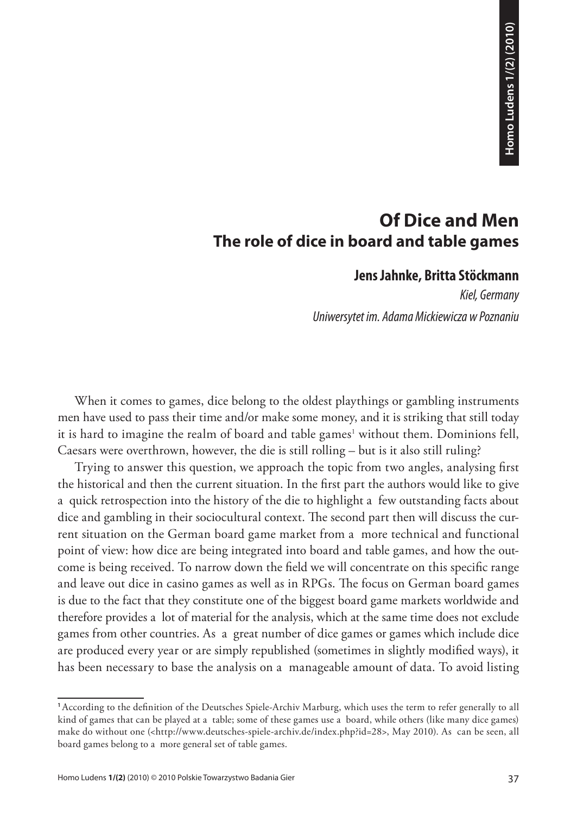# **Of Dice and Men The role of dice in board and table games**

## **Jens Jahnke, Britta Stöckmann**

*Kiel, Germany Uniwersytet im. Adama Mickiewicza w Poznaniu*

When it comes to games, dice belong to the oldest playthings or gambling instruments men have used to pass their time and/or make some money, and it is striking that still today it is hard to imagine the realm of board and table games' without them. Dominions fell, Caesars were overthrown, however, the die is still rolling – but is it also still ruling?

**1/2) Control Control Control Control Control Control Control Control Control Control Control Control Control Control Control Control Control Control Control Control Control Control Control Control Control Control Contro** Trying to answer this question, we approach the topic from two angles, analysing first the historical and then the current situation. In the first part the authors would like to give a quick retrospection into the history of the die to highlight a few outstanding facts about dice and gambling in their sociocultural context. The second part then will discuss the current situation on the German board game market from a more technical and functional point of view: how dice are being integrated into board and table games, and how the outcome is being received. To narrow down the field we will concentrate on this specific range and leave out dice in casino games as well as in RPGs. The focus on German board games is due to the fact that they constitute one of the biggest board game markets worldwide and therefore provides a lot of material for the analysis, which at the same time does not exclude games from other countries. As a great number of dice games or games which include dice are produced every year or are simply republished (sometimes in slightly modified ways), it has been necessary to base the analysis on a manageable amount of data. To avoid listing

**<sup>1</sup>**According to the definition of the Deutsches Spiele-Archiv Marburg, which uses the term to refer generally to all kind of games that can be played at a table; some of these games use a board, while others (like many dice games) make do without one (<http://www.deutsches-spiele-archiv.de/index.php?id=28>, May 2010). As can be seen, all board games belong to a more general set of table games.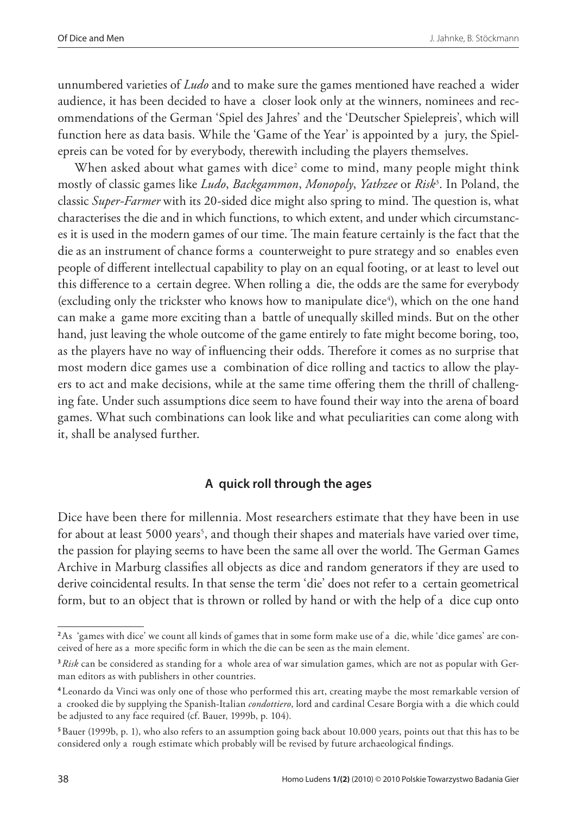unnumbered varieties of *Ludo* and to make sure the games mentioned have reached a wider audience, it has been decided to have a closer look only at the winners, nominees and recommendations of the German 'Spiel des Jahres' and the 'Deutscher Spielepreis', which will function here as data basis. While the 'Game of the Year' is appointed by a jury, the Spielepreis can be voted for by everybody, therewith including the players themselves.

When asked about what games with dice $^2$  come to mind, many people might think mostly of classic games like *Ludo*, *Backgammon*, *Monopoly*, *Yathzee* or *Risk*<sup>3</sup> . In Poland, the classic *Super-Farmer* with its 20-sided dice might also spring to mind. The question is, what characterises the die and in which functions, to which extent, and under which circumstances it is used in the modern games of our time. The main feature certainly is the fact that the die as an instrument of chance forms a counterweight to pure strategy and so enables even people of different intellectual capability to play on an equal footing, or at least to level out this difference to a certain degree. When rolling a die, the odds are the same for everybody (excluding only the trickster who knows how to manipulate dice<sup>4</sup>), which on the one hand can make a game more exciting than a battle of unequally skilled minds. But on the other hand, just leaving the whole outcome of the game entirely to fate might become boring, too, as the players have no way of influencing their odds. Therefore it comes as no surprise that most modern dice games use a combination of dice rolling and tactics to allow the players to act and make decisions, while at the same time offering them the thrill of challenging fate. Under such assumptions dice seem to have found their way into the arena of board games. What such combinations can look like and what peculiarities can come along with it, shall be analysed further.

## **A quick roll through the ages**

Dice have been there for millennia. Most researchers estimate that they have been in use for about at least 5000 years<sup>5</sup>, and though their shapes and materials have varied over time, the passion for playing seems to have been the same all over the world. The German Games Archive in Marburg classifies all objects as dice and random generators if they are used to derive coincidental results. In that sense the term 'die' does not refer to a certain geometrical form, but to an object that is thrown or rolled by hand or with the help of a dice cup onto

**<sup>2</sup>** As 'games with dice' we count all kinds of games that in some form make use of a die, while 'dice games' are conceived of here as a more specific form in which the die can be seen as the main element.

**<sup>3</sup>***Risk* can be considered as standing for a whole area of war simulation games, which are not as popular with German editors as with publishers in other countries.

**<sup>4</sup>**Leonardo da Vinci was only one of those who performed this art, creating maybe the most remarkable version of a crooked die by supplying the Spanish-Italian *condottiero*, lord and cardinal Cesare Borgia with a die which could be adjusted to any face required (cf. Bauer, 1999b, p. 104).

**<sup>5</sup>**Bauer (1999b, p. 1), who also refers to an assumption going back about 10.000 years, points out that this has to be considered only a rough estimate which probably will be revised by future archaeological findings.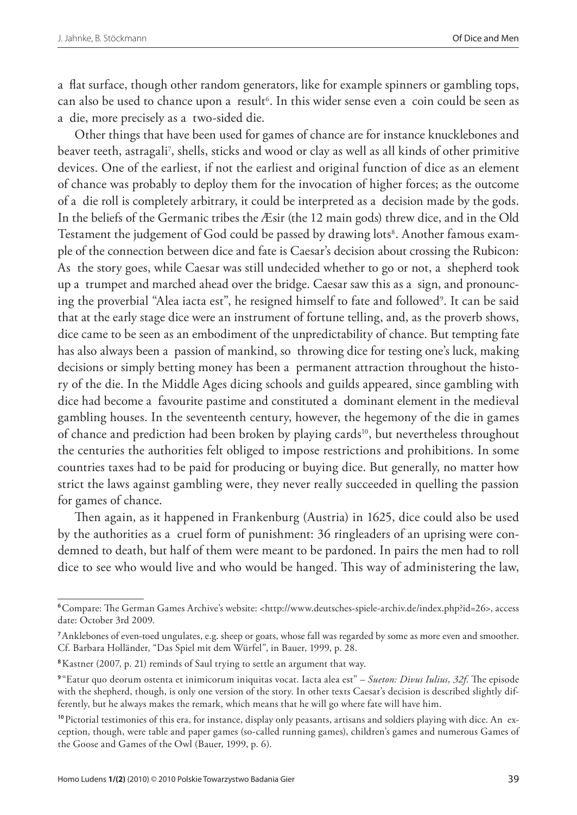a flat surface, though other random generators, like for example spinners or gambling tops, can also be used to chance upon a result<sup>6</sup>. In this wider sense even a coin could be seen as a die, more precisely as a two-sided die.

Other things that have been used for games of chance are for instance knucklebones and beaver teeth, astragali7 , shells, sticks and wood or clay as well as all kinds of other primitive devices. One of the earliest, if not the earliest and original function of dice as an element of chance was probably to deploy them for the invocation of higher forces; as the outcome of a die roll is completely arbitrary, it could be interpreted as a decision made by the gods. In the beliefs of the Germanic tribes the Æsir (the 12 main gods) threw dice, and in the Old Testament the judgement of God could be passed by drawing lots<sup>8</sup>. Another famous example of the connection between dice and fate is Caesar's decision about crossing the Rubicon: As the story goes, while Caesar was still undecided whether to go or not, a shepherd took up a trumpet and marched ahead over the bridge. Caesar saw this as a sign, and pronouncing the proverbial "Alea iacta est", he resigned himself to fate and followed<sup>9</sup>. It can be said that at the early stage dice were an instrument of fortune telling, and, as the proverb shows, dice came to be seen as an embodiment of the unpredictability of chance. But tempting fate has also always been a passion of mankind, so throwing dice for testing one's luck, making decisions or simply betting money has been a permanent attraction throughout the history of the die. In the Middle Ages dicing schools and guilds appeared, since gambling with dice had become a favourite pastime and constituted a dominant element in the medieval gambling houses. In the seventeenth century, however, the hegemony of the die in games of chance and prediction had been broken by playing cards<sup>10</sup>, but nevertheless throughout the centuries the authorities felt obliged to impose restrictions and prohibitions. In some countries taxes had to be paid for producing or buying dice. But generally, no matter how strict the laws against gambling were, they never really succeeded in quelling the passion for games of chance.

Then again, as it happened in Frankenburg (Austria) in 1625, dice could also be used by the authorities as a cruel form of punishment: 36 ringleaders of an uprising were condemned to death, but half of them were meant to be pardoned. In pairs the men had to roll dice to see who would live and who would be hanged. This way of administering the law,

**<sup>6</sup>**Compare: The German Games Archive's website: <http://www.deutsches-spiele-archiv.de/index.php?id=26>, access date: October 3rd 2009.

**<sup>7</sup>**Anklebones of even-toed ungulates, e.g. sheep or goats, whose fall was regarded by some as more even and smoother. Cf. Barbara Holländer, "Das Spiel mit dem Würfel", in Bauer, 1999, p. 28.

**<sup>8</sup>**Kastner (2007, p. 21) reminds of Saul trying to settle an argument that way.

**<sup>9</sup>**"Eatur quo deorum ostenta et inimicorum iniquitas vocat. Iacta alea est" – *Sueton: Divus Iulius, 32f*. The episode with the shepherd, though, is only one version of the story. In other texts Caesar's decision is described slightly differently, but he always makes the remark, which means that he will go where fate will have him.

**<sup>10</sup>** Pictorial testimonies of this era, for instance, display only peasants, artisans and soldiers playing with dice. An exception, though, were table and paper games (so-called running games), children's games and numerous Games of the Goose and Games of the Owl (Bauer, 1999, p. 6).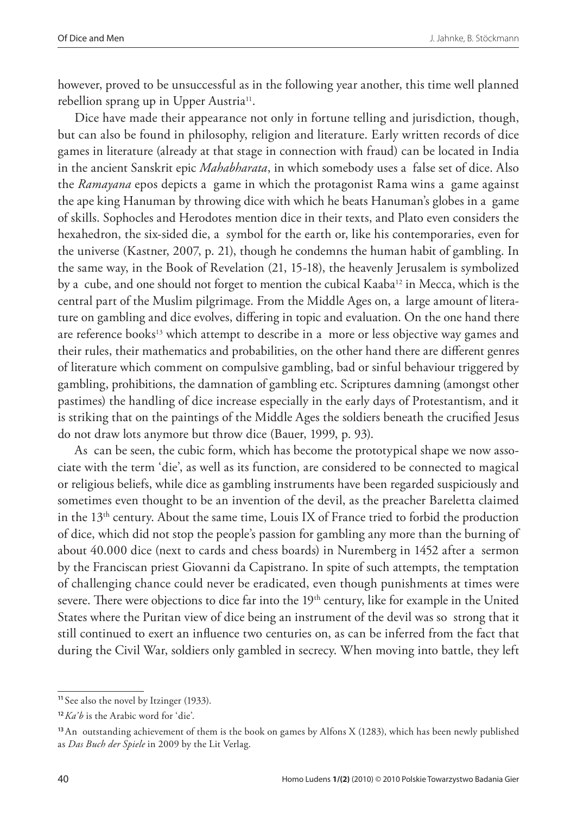however, proved to be unsuccessful as in the following year another, this time well planned rebellion sprang up in Upper Austria<sup>11</sup>.

Dice have made their appearance not only in fortune telling and jurisdiction, though, but can also be found in philosophy, religion and literature. Early written records of dice games in literature (already at that stage in connection with fraud) can be located in India in the ancient Sanskrit epic *Mahabharata*, in which somebody uses a false set of dice. Also the *Ramayana* epos depicts a game in which the protagonist Rama wins a game against the ape king Hanuman by throwing dice with which he beats Hanuman's globes in a game of skills. Sophocles and Herodotes mention dice in their texts, and Plato even considers the hexahedron, the six-sided die, a symbol for the earth or, like his contemporaries, even for the universe (Kastner, 2007, p. 21), though he condemns the human habit of gambling. In the same way, in the Book of Revelation (21, 15-18), the heavenly Jerusalem is symbolized by a cube, and one should not forget to mention the cubical Kaaba<sup>12</sup> in Mecca, which is the central part of the Muslim pilgrimage. From the Middle Ages on, a large amount of literature on gambling and dice evolves, differing in topic and evaluation. On the one hand there are reference books<sup>13</sup> which attempt to describe in a more or less objective way games and their rules, their mathematics and probabilities, on the other hand there are different genres of literature which comment on compulsive gambling, bad or sinful behaviour triggered by gambling, prohibitions, the damnation of gambling etc. Scriptures damning (amongst other pastimes) the handling of dice increase especially in the early days of Protestantism, and it is striking that on the paintings of the Middle Ages the soldiers beneath the crucified Jesus do not draw lots anymore but throw dice (Bauer, 1999, p. 93).

As can be seen, the cubic form, which has become the prototypical shape we now associate with the term 'die', as well as its function, are considered to be connected to magical or religious beliefs, while dice as gambling instruments have been regarded suspiciously and sometimes even thought to be an invention of the devil, as the preacher Bareletta claimed in the  $13<sup>th</sup>$  century. About the same time, Louis IX of France tried to forbid the production of dice, which did not stop the people's passion for gambling any more than the burning of about 40.000 dice (next to cards and chess boards) in Nuremberg in 1452 after a sermon by the Franciscan priest Giovanni da Capistrano. In spite of such attempts, the temptation of challenging chance could never be eradicated, even though punishments at times were severe. There were objections to dice far into the  $19<sup>th</sup>$  century, like for example in the United States where the Puritan view of dice being an instrument of the devil was so strong that it still continued to exert an influence two centuries on, as can be inferred from the fact that during the Civil War, soldiers only gambled in secrecy. When moving into battle, they left

**<sup>11</sup>**See also the novel by Itzinger (1933).

**<sup>12</sup>***Ka'b* is the Arabic word for 'die'.

**<sup>13</sup>**An outstanding achievement of them is the book on games by Alfons X (1283), which has been newly published as *Das Buch der Spiele* in 2009 by the Lit Verlag.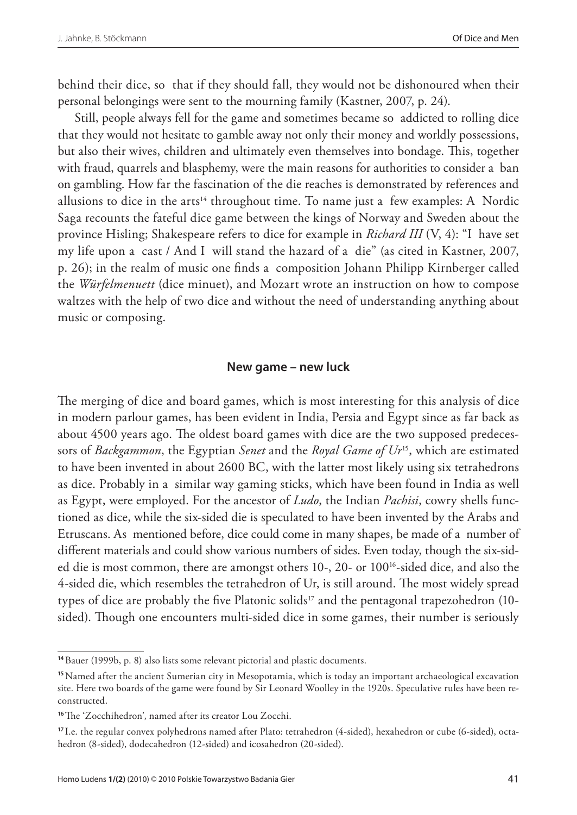behind their dice, so that if they should fall, they would not be dishonoured when their personal belongings were sent to the mourning family (Kastner, 2007, p. 24).

Still, people always fell for the game and sometimes became so addicted to rolling dice that they would not hesitate to gamble away not only their money and worldly possessions, but also their wives, children and ultimately even themselves into bondage. This, together with fraud, quarrels and blasphemy, were the main reasons for authorities to consider a ban on gambling. How far the fascination of the die reaches is demonstrated by references and allusions to dice in the arts<sup>14</sup> throughout time. To name just a few examples: A Nordic Saga recounts the fateful dice game between the kings of Norway and Sweden about the province Hisling; Shakespeare refers to dice for example in *Richard III* (V, 4): "I have set my life upon a cast / And I will stand the hazard of a die" (as cited in Kastner, 2007, p. 26); in the realm of music one finds a composition Johann Philipp Kirnberger called the *Würfelmenuett* (dice minuet), and Mozart wrote an instruction on how to compose waltzes with the help of two dice and without the need of understanding anything about music or composing.

#### **New game – new luck**

The merging of dice and board games, which is most interesting for this analysis of dice in modern parlour games, has been evident in India, Persia and Egypt since as far back as about 4500 years ago. The oldest board games with dice are the two supposed predecessors of *Backgammon*, the Egyptian *Senet* and the *Royal Game of Ur*15, which are estimated to have been invented in about 2600 BC, with the latter most likely using six tetrahedrons as dice. Probably in a similar way gaming sticks, which have been found in India as well as Egypt, were employed. For the ancestor of *Ludo*, the Indian *Pachisi*, cowry shells functioned as dice, while the six-sided die is speculated to have been invented by the Arabs and Etruscans. As mentioned before, dice could come in many shapes, be made of a number of different materials and could show various numbers of sides. Even today, though the six-sided die is most common, there are amongst others 10-, 20- or 10016-sided dice, and also the 4-sided die, which resembles the tetrahedron of Ur, is still around. The most widely spread types of dice are probably the five Platonic solids<sup>17</sup> and the pentagonal trapezohedron (10sided). Though one encounters multi-sided dice in some games, their number is seriously

**<sup>14</sup>**Bauer (1999b, p. 8) also lists some relevant pictorial and plastic documents.

**<sup>15</sup>**Named after the ancient Sumerian city in Mesopotamia, which is today an important archaeological excavation site. Here two boards of the game were found by Sir Leonard Woolley in the 1920s. Speculative rules have been reconstructed.

**<sup>16</sup>**The 'Zocchihedron', named after its creator Lou Zocchi.

**<sup>17</sup>** I.e. the regular convex polyhedrons named after Plato: tetrahedron (4-sided), hexahedron or cube (6-sided), octahedron (8-sided), dodecahedron (12-sided) and icosahedron (20-sided).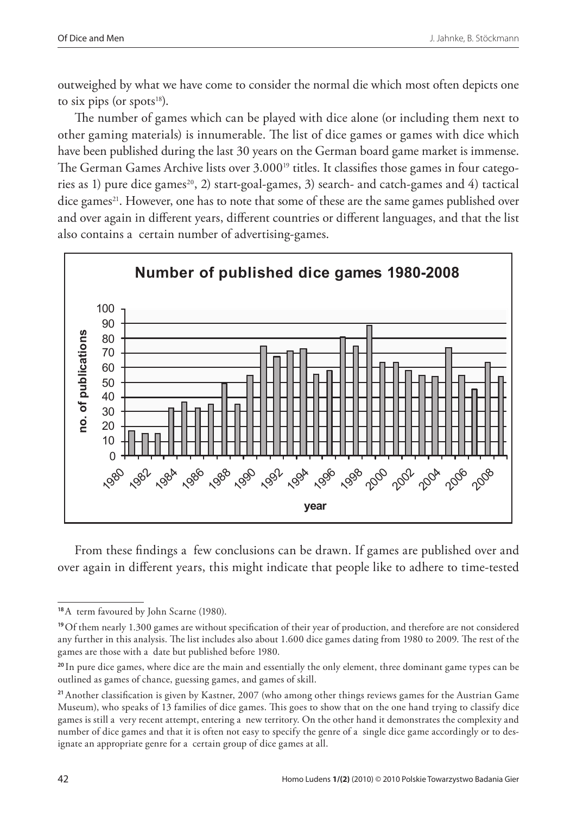outweighed by what we have come to consider the normal die which most often depicts one to six pips (or spots $18$ ).

The number of games which can be played with dice alone (or including them next to other gaming materials) is innumerable. The list of dice games or games with dice which have been published during the last 30 years on the German board game market is immense. The German Games Archive lists over 3.000<sup>19</sup> titles. It classifies those games in four categories as 1) pure dice games<sup>20</sup>, 2) start-goal-games, 3) search- and catch-games and 4) tactical dice games<sup>21</sup>. However, one has to note that some of these are the same games published over and over again in different years, different countries or different languages, and that the list also contains a certain number of advertising-games.



From these findings a few conclusions can be drawn. If games are published over and over again in different years, this might indicate that people like to adhere to time-tested

**<sup>18</sup>**A term favoured by John Scarne (1980).

**<sup>19</sup>**Of them nearly 1.300 games are without specification of their year of production, and therefore are not considered any further in this analysis. The list includes also about 1.600 dice games dating from 1980 to 2009. The rest of the games are those with a date but published before 1980.

**<sup>20</sup>**In pure dice games, where dice are the main and essentially the only element, three dominant game types can be outlined as games of chance, guessing games, and games of skill.

**<sup>21</sup>**Another classification is given by Kastner, 2007 (who among other things reviews games for the Austrian Game Museum), who speaks of 13 families of dice games. This goes to show that on the one hand trying to classify dice games is still a very recent attempt, entering a new territory. On the other hand it demonstrates the complexity and number of dice games and that it is often not easy to specify the genre of a single dice game accordingly or to designate an appropriate genre for a certain group of dice games at all.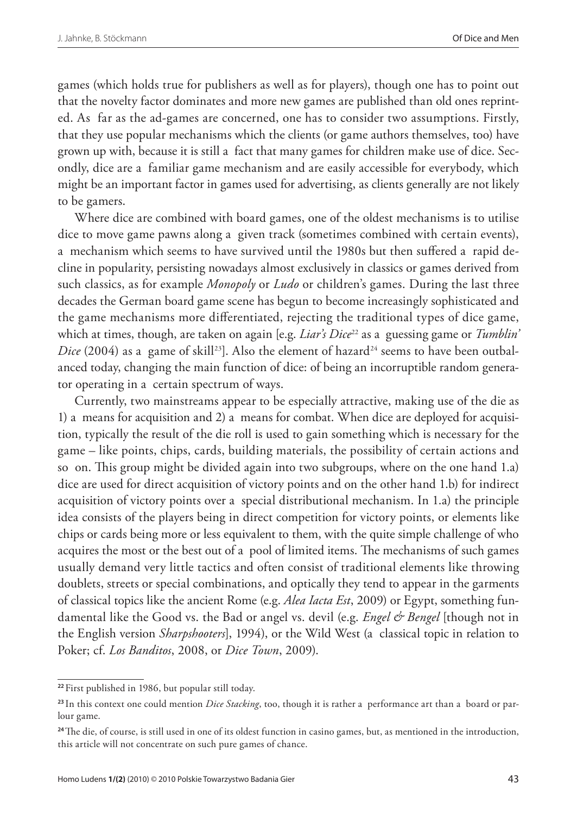games (which holds true for publishers as well as for players), though one has to point out that the novelty factor dominates and more new games are published than old ones reprinted. As far as the ad-games are concerned, one has to consider two assumptions. Firstly, that they use popular mechanisms which the clients (or game authors themselves, too) have grown up with, because it is still a fact that many games for children make use of dice. Secondly, dice are a familiar game mechanism and are easily accessible for everybody, which might be an important factor in games used for advertising, as clients generally are not likely to be gamers.

Where dice are combined with board games, one of the oldest mechanisms is to utilise dice to move game pawns along a given track (sometimes combined with certain events), a mechanism which seems to have survived until the 1980s but then suffered a rapid decline in popularity, persisting nowadays almost exclusively in classics or games derived from such classics, as for example *Monopoly* or *Ludo* or children's games. During the last three decades the German board game scene has begun to become increasingly sophisticated and the game mechanisms more differentiated, rejecting the traditional types of dice game, which at times, though, are taken on again [e.g. *Liar's Dice*<sup>22</sup> as a guessing game or *Tumblin' Dice* (2004) as a game of skill<sup>23</sup>]. Also the element of hazard<sup>24</sup> seems to have been outbalanced today, changing the main function of dice: of being an incorruptible random generator operating in a certain spectrum of ways.

Currently, two mainstreams appear to be especially attractive, making use of the die as 1) a means for acquisition and 2) a means for combat. When dice are deployed for acquisition, typically the result of the die roll is used to gain something which is necessary for the game – like points, chips, cards, building materials, the possibility of certain actions and so on. This group might be divided again into two subgroups, where on the one hand 1.a) dice are used for direct acquisition of victory points and on the other hand 1.b) for indirect acquisition of victory points over a special distributional mechanism. In 1.a) the principle idea consists of the players being in direct competition for victory points, or elements like chips or cards being more or less equivalent to them, with the quite simple challenge of who acquires the most or the best out of a pool of limited items. The mechanisms of such games usually demand very little tactics and often consist of traditional elements like throwing doublets, streets or special combinations, and optically they tend to appear in the garments of classical topics like the ancient Rome (e.g. *Alea Iacta Est*, 2009) or Egypt, something fundamental like the Good vs. the Bad or angel vs. devil (e.g. *Engel & Bengel* [though not in the English version *Sharpshooters*], 1994), or the Wild West (a classical topic in relation to Poker; cf. *Los Banditos*, 2008, or *Dice Town*, 2009).

**<sup>22</sup>**First published in 1986, but popular still today.

**<sup>23</sup>** In this context one could mention *Dice Stacking*, too, though it is rather a performance art than a board or parlour game.

**<sup>24</sup>**The die, of course, is still used in one of its oldest function in casino games, but, as mentioned in the introduction, this article will not concentrate on such pure games of chance.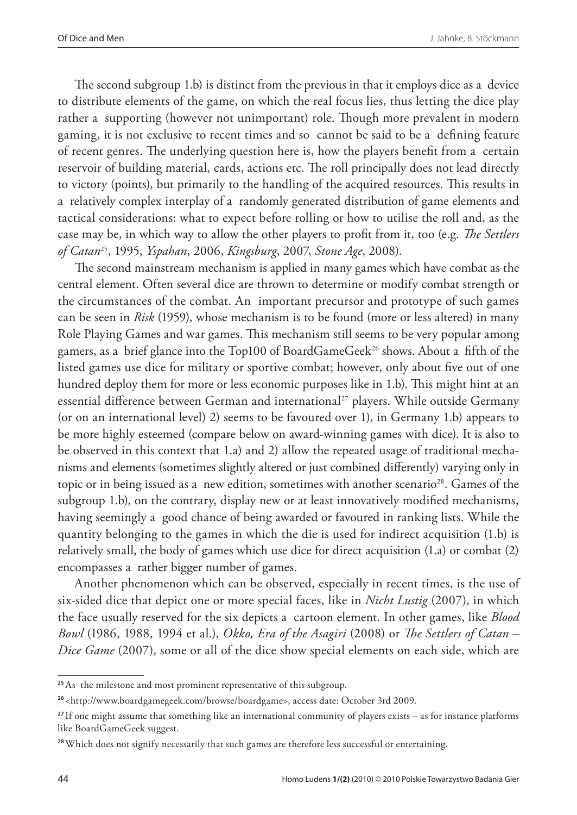The second subgroup 1.b) is distinct from the previous in that it employs dice as a device to distribute elements of the game, on which the real focus lies, thus letting the dice play rather a supporting (however not unimportant) role. Though more prevalent in modern gaming, it is not exclusive to recent times and so cannot be said to be a defining feature of recent genres. The underlying question here is, how the players benefit from a certain reservoir of building material, cards, actions etc. The roll principally does not lead directly to victory (points), but primarily to the handling of the acquired resources. This results in a relatively complex interplay of a randomly generated distribution of game elements and tactical considerations: what to expect before rolling or how to utilise the roll and, as the case may be, in which way to allow the other players to profit from it, too (e.g. *The Settlers of Catan*25, 1995, *Yspahan*, 2006, *Kingsburg*, 2007, *Stone Age*, 2008).

The second mainstream mechanism is applied in many games which have combat as the central element. Often several dice are thrown to determine or modify combat strength or the circumstances of the combat. An important precursor and prototype of such games can be seen in *Risk* (1959), whose mechanism is to be found (more or less altered) in many Role Playing Games and war games. This mechanism still seems to be very popular among gamers, as a brief glance into the Top100 of BoardGameGeek<sup>26</sup> shows. About a fifth of the listed games use dice for military or sportive combat; however, only about five out of one hundred deploy them for more or less economic purposes like in 1.b). This might hint at an essential difference between German and international<sup>27</sup> players. While outside Germany (or on an international level) 2) seems to be favoured over 1), in Germany 1.b) appears to be more highly esteemed (compare below on award-winning games with dice). It is also to be observed in this context that 1.a) and 2) allow the repeated usage of traditional mechanisms and elements (sometimes slightly altered or just combined differently) varying only in topic or in being issued as a new edition, sometimes with another scenario<sup>28</sup>. Games of the subgroup 1.b), on the contrary, display new or at least innovatively modified mechanisms, having seemingly a good chance of being awarded or favoured in ranking lists. While the quantity belonging to the games in which the die is used for indirect acquisition (1.b) is relatively small, the body of games which use dice for direct acquisition (1.a) or combat (2) encompasses a rather bigger number of games.

Another phenomenon which can be observed, especially in recent times, is the use of six-sided dice that depict one or more special faces, like in *Nicht Lustig* (2007), in which the face usually reserved for the six depicts a cartoon element. In other games, like *Blood Bowl* (1986, 1988, 1994 et al.), *Okko, Era of the Asagiri* (2008) or *The Settlers of Catan – Dice Game* (2007), some or all of the dice show special elements on each side, which are

**<sup>25</sup>**As the milestone and most prominent representative of this subgroup.

**<sup>26</sup>**<http://www.boardgamegeek.com/browse/boardgame>, access date: October 3rd 2009.

**<sup>27</sup>**If one might assume that something like an international community of players exists – as for instance platforms like BoardGameGeek suggest.

**<sup>28</sup>** Which does not signify necessarily that such games are therefore less successful or entertaining.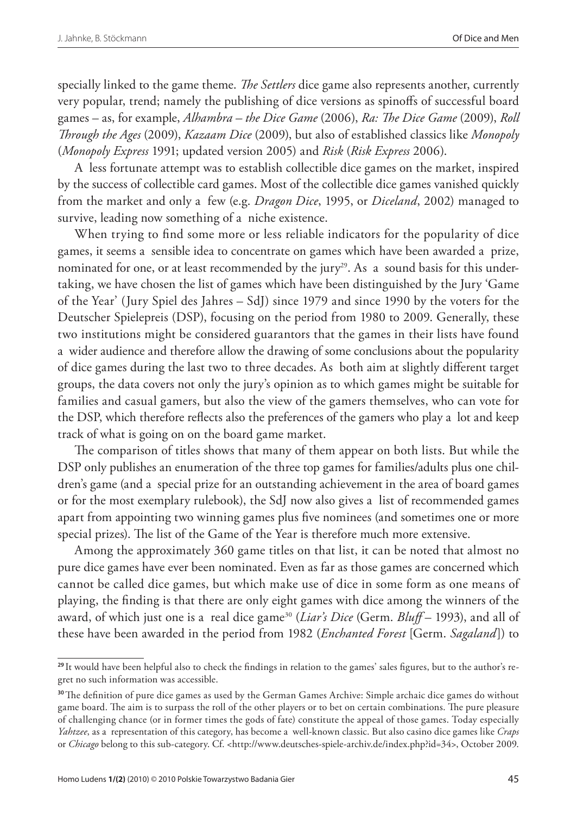specially linked to the game theme. *The Settlers* dice game also represents another, currently very popular, trend; namely the publishing of dice versions as spinoffs of successful board games – as, for example, *Alhambra – the Dice Game* (2006), *Ra: The Dice Game* (2009), *Roll Through the Ages* (2009), *Kazaam Dice* (2009), but also of established classics like *Monopoly* (*Monopoly Express* 1991; updated version 2005) and *Risk* (*Risk Express* 2006).

A less fortunate attempt was to establish collectible dice games on the market, inspired by the success of collectible card games. Most of the collectible dice games vanished quickly from the market and only a few (e.g. *Dragon Dice*, 1995, or *Diceland*, 2002) managed to survive, leading now something of a niche existence.

When trying to find some more or less reliable indicators for the popularity of dice games, it seems a sensible idea to concentrate on games which have been awarded a prize, nominated for one, or at least recommended by the jury<sup>29</sup>. As a sound basis for this undertaking, we have chosen the list of games which have been distinguished by the Jury 'Game of the Year' (Jury Spiel des Jahres – SdJ) since 1979 and since 1990 by the voters for the Deutscher Spielepreis (DSP), focusing on the period from 1980 to 2009. Generally, these two institutions might be considered guarantors that the games in their lists have found a wider audience and therefore allow the drawing of some conclusions about the popularity of dice games during the last two to three decades. As both aim at slightly different target groups, the data covers not only the jury's opinion as to which games might be suitable for families and casual gamers, but also the view of the gamers themselves, who can vote for the DSP, which therefore reflects also the preferences of the gamers who play a lot and keep track of what is going on on the board game market.

The comparison of titles shows that many of them appear on both lists. But while the DSP only publishes an enumeration of the three top games for families/adults plus one children's game (and a special prize for an outstanding achievement in the area of board games or for the most exemplary rulebook), the SdJ now also gives a list of recommended games apart from appointing two winning games plus five nominees (and sometimes one or more special prizes). The list of the Game of the Year is therefore much more extensive.

Among the approximately 360 game titles on that list, it can be noted that almost no pure dice games have ever been nominated. Even as far as those games are concerned which cannot be called dice games, but which make use of dice in some form as one means of playing, the finding is that there are only eight games with dice among the winners of the award, of which just one is a real dice game30 (*Liar's Dice* (Germ. *Bluff* – 1993), and all of these have been awarded in the period from 1982 (*Enchanted Forest* [Germ. *Sagaland*]) to

**<sup>29</sup>** It would have been helpful also to check the findings in relation to the games' sales figures, but to the author's regret no such information was accessible.

**<sup>30</sup>**The definition of pure dice games as used by the German Games Archive: Simple archaic dice games do without game board. The aim is to surpass the roll of the other players or to bet on certain combinations. The pure pleasure of challenging chance (or in former times the gods of fate) constitute the appeal of those games. Today especially *Yahtzee*, as a representation of this category, has become a well-known classic. But also casino dice games like *Craps* or *Chicago* belong to this sub-category. Cf. <http://www.deutsches-spiele-archiv.de/index.php?id=34>, October 2009.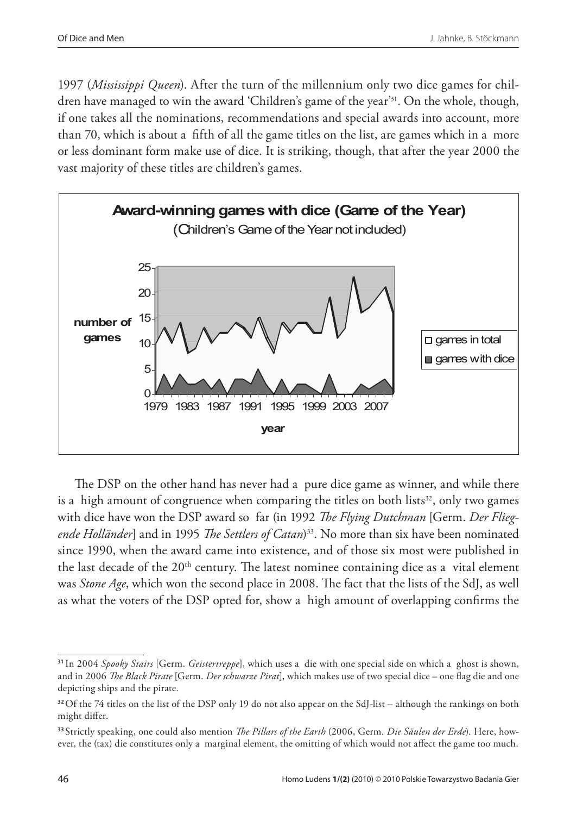1997 (*Mississippi Queen*). After the turn of the millennium only two dice games for children have managed to win the award 'Children's game of the year'31. On the whole, though, if one takes all the nominations, recommendations and special awards into account, more than 70, which is about a fifth of all the game titles on the list, are games which in a more or less dominant form make use of dice. It is striking, though, that after the year 2000 the vast majority of these titles are children's games.



The DSP on the other hand has never had a pure dice game as winner, and while there is a high amount of congruence when comparing the titles on both lists $32$ , only two games with dice have won the DSP award so far (in 1992 *The Flying Dutchman* [Germ. *Der Fliegende Holländer*] and in 1995 *The Settlers of Catan*)33. No more than six have been nominated since 1990, when the award came into existence, and of those six most were published in the last decade of the 20th century. The latest nominee containing dice as a vital element was *Stone Age*, which won the second place in 2008. The fact that the lists of the SdJ, as well as what the voters of the DSP opted for, show a high amount of overlapping confirms the

**<sup>31</sup>**In 2004 *Spooky Stairs* [Germ. *Geistertreppe*], which uses a die with one special side on which a ghost is shown, and in 2006 *The Black Pirate* [Germ. *Der schwarze Pirat*], which makes use of two special dice – one flag die and one depicting ships and the pirate.

**<sup>32</sup>**Of the 74 titles on the list of the DSP only 19 do not also appear on the SdJ-list – although the rankings on both might differ.

**<sup>33</sup>** Strictly speaking, one could also mention *The Pillars of the Earth* (2006, Germ. *Die Säulen der Erde*). Here, however, the (tax) die constitutes only a marginal element, the omitting of which would not affect the game too much.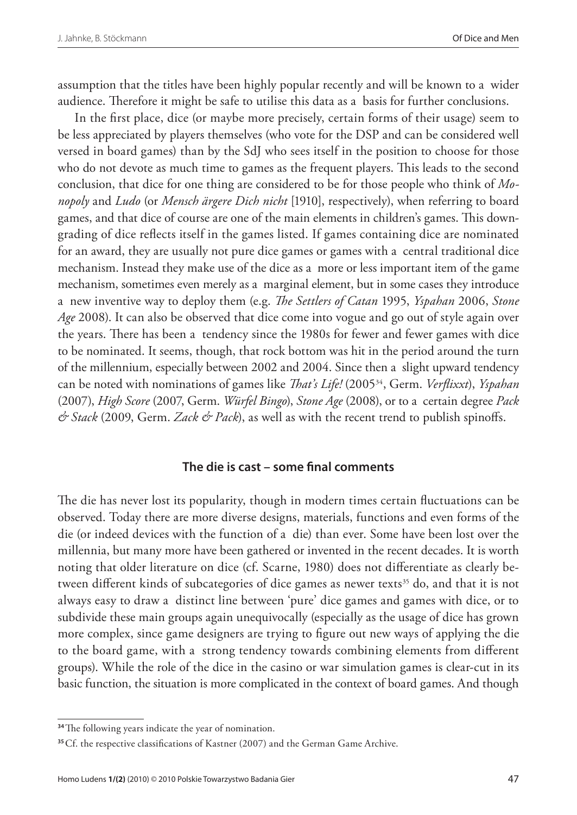assumption that the titles have been highly popular recently and will be known to a wider audience. Therefore it might be safe to utilise this data as a basis for further conclusions.

In the first place, dice (or maybe more precisely, certain forms of their usage) seem to be less appreciated by players themselves (who vote for the DSP and can be considered well versed in board games) than by the SdJ who sees itself in the position to choose for those who do not devote as much time to games as the frequent players. This leads to the second conclusion, that dice for one thing are considered to be for those people who think of *Monopoly* and *Ludo* (or *Mensch ärgere Dich nicht* [1910], respectively), when referring to board games, and that dice of course are one of the main elements in children's games. This downgrading of dice reflects itself in the games listed. If games containing dice are nominated for an award, they are usually not pure dice games or games with a central traditional dice mechanism. Instead they make use of the dice as a more or less important item of the game mechanism, sometimes even merely as a marginal element, but in some cases they introduce a new inventive way to deploy them (e.g. *The Settlers of Catan* 1995, *Yspahan* 2006, *Stone Age* 2008). It can also be observed that dice come into vogue and go out of style again over the years. There has been a tendency since the 1980s for fewer and fewer games with dice to be nominated. It seems, though, that rock bottom was hit in the period around the turn of the millennium, especially between 2002 and 2004. Since then a slight upward tendency can be noted with nominations of games like *That's Life!* (200534, Germ. *Verflixxt*), *Yspahan* (2007), *High Score* (2007, Germ. *Würfel Bingo*), *Stone Age* (2008), or to a certain degree *Pack & Stack* (2009, Germ. *Zack & Pack*), as well as with the recent trend to publish spinoffs.

### **The die is cast – some final comments**

The die has never lost its popularity, though in modern times certain fluctuations can be observed. Today there are more diverse designs, materials, functions and even forms of the die (or indeed devices with the function of a die) than ever. Some have been lost over the millennia, but many more have been gathered or invented in the recent decades. It is worth noting that older literature on dice (cf. Scarne, 1980) does not differentiate as clearly between different kinds of subcategories of dice games as newer texts<sup>35</sup> do, and that it is not always easy to draw a distinct line between 'pure' dice games and games with dice, or to subdivide these main groups again unequivocally (especially as the usage of dice has grown more complex, since game designers are trying to figure out new ways of applying the die to the board game, with a strong tendency towards combining elements from different groups). While the role of the dice in the casino or war simulation games is clear-cut in its basic function, the situation is more complicated in the context of board games. And though

**<sup>34</sup>**The following years indicate the year of nomination.

**<sup>35</sup>** Cf. the respective classifications of Kastner (2007) and the German Game Archive.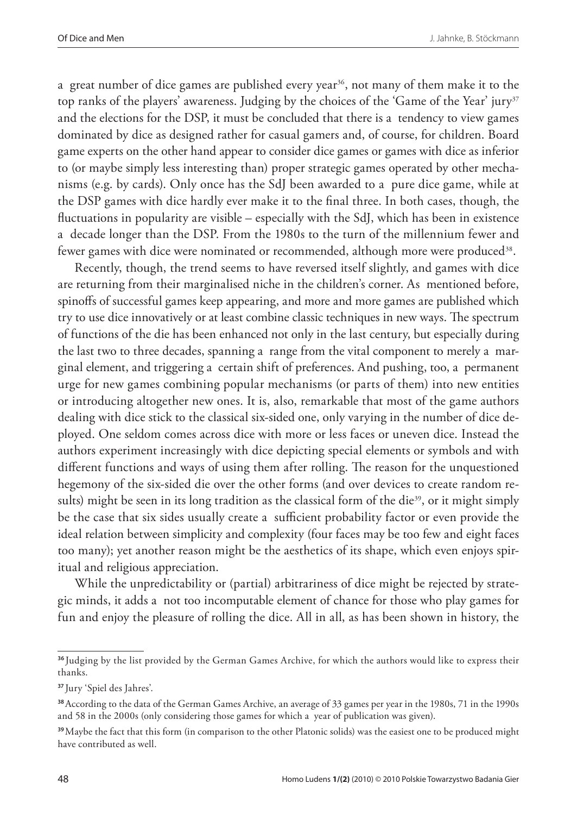a great number of dice games are published every year<sup>36</sup>, not many of them make it to the top ranks of the players' awareness. Judging by the choices of the 'Game of the Year' jury<sup>37</sup> and the elections for the DSP, it must be concluded that there is a tendency to view games dominated by dice as designed rather for casual gamers and, of course, for children. Board game experts on the other hand appear to consider dice games or games with dice as inferior to (or maybe simply less interesting than) proper strategic games operated by other mechanisms (e.g. by cards). Only once has the SdJ been awarded to a pure dice game, while at the DSP games with dice hardly ever make it to the final three. In both cases, though, the fluctuations in popularity are visible – especially with the SdJ, which has been in existence a decade longer than the DSP. From the 1980s to the turn of the millennium fewer and fewer games with dice were nominated or recommended, although more were produced<sup>38</sup>.

Recently, though, the trend seems to have reversed itself slightly, and games with dice are returning from their marginalised niche in the children's corner. As mentioned before, spinoffs of successful games keep appearing, and more and more games are published which try to use dice innovatively or at least combine classic techniques in new ways. The spectrum of functions of the die has been enhanced not only in the last century, but especially during the last two to three decades, spanning a range from the vital component to merely a marginal element, and triggering a certain shift of preferences. And pushing, too, a permanent urge for new games combining popular mechanisms (or parts of them) into new entities or introducing altogether new ones. It is, also, remarkable that most of the game authors dealing with dice stick to the classical six-sided one, only varying in the number of dice deployed. One seldom comes across dice with more or less faces or uneven dice. Instead the authors experiment increasingly with dice depicting special elements or symbols and with different functions and ways of using them after rolling. The reason for the unquestioned hegemony of the six-sided die over the other forms (and over devices to create random results) might be seen in its long tradition as the classical form of the die<sup>39</sup>, or it might simply be the case that six sides usually create a sufficient probability factor or even provide the ideal relation between simplicity and complexity (four faces may be too few and eight faces too many); yet another reason might be the aesthetics of its shape, which even enjoys spiritual and religious appreciation.

While the unpredictability or (partial) arbitrariness of dice might be rejected by strategic minds, it adds a not too incomputable element of chance for those who play games for fun and enjoy the pleasure of rolling the dice. All in all, as has been shown in history, the

**<sup>36</sup>**Judging by the list provided by the German Games Archive, for which the authors would like to express their thanks.

**<sup>37</sup>**Jury 'Spiel des Jahres'.

**<sup>38</sup>**According to the data of the German Games Archive, an average of 33 games per year in the 1980s, 71 in the 1990s and 58 in the 2000s (only considering those games for which a year of publication was given).

**<sup>39</sup>**Maybe the fact that this form (in comparison to the other Platonic solids) was the easiest one to be produced might have contributed as well.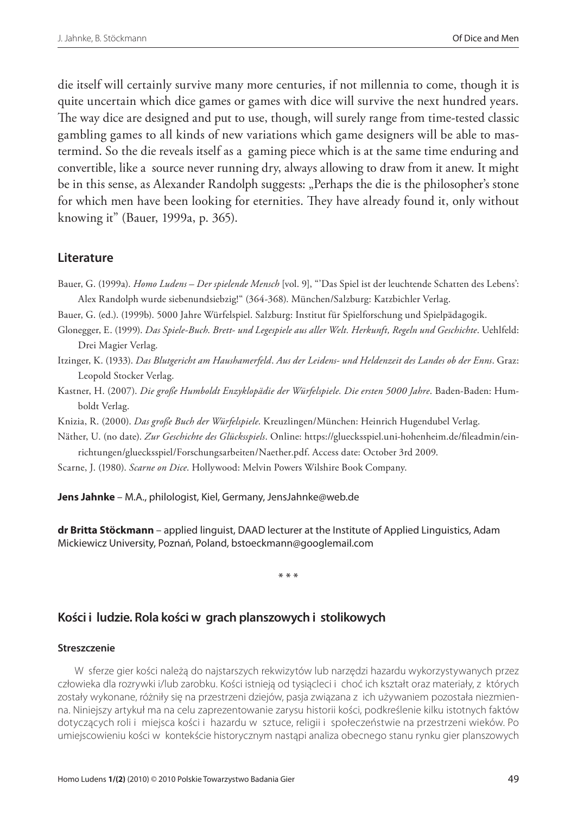die itself will certainly survive many more centuries, if not millennia to come, though it is quite uncertain which dice games or games with dice will survive the next hundred years. The way dice are designed and put to use, though, will surely range from time-tested classic gambling games to all kinds of new variations which game designers will be able to mastermind. So the die reveals itself as a gaming piece which is at the same time enduring and convertible, like a source never running dry, always allowing to draw from it anew. It might be in this sense, as Alexander Randolph suggests: "Perhaps the die is the philosopher's stone for which men have been looking for eternities. They have already found it, only without knowing it" (Bauer, 1999a, p. 365).

#### **Literature**

- Bauer, G. (1999a). *Homo Ludens Der spielende Mensch* [vol. 9], "'Das Spiel ist der leuchtende Schatten des Lebens': Alex Randolph wurde siebenundsiebzig!" (364-368). München/Salzburg: Katzbichler Verlag.
- Bauer, G. (ed.). (1999b). 5000 Jahre Würfelspiel. Salzburg: Institut für Spielforschung und Spielpädagogik.
- Glonegger, E. (1999). *Das Spiele-Buch*. *Brett- und Legespiele aus aller Welt. Herkunft, Regeln und Geschichte*. Uehlfeld: Drei Magier Verlag.
- Itzinger, K. (1933). *Das Blutgericht am Haushamerfeld*. *Aus der Leidens- und Heldenzeit des Landes ob der Enns*. Graz: Leopold Stocker Verlag.
- Kastner, H. (2007). *Die große Humboldt Enzyklopädie der Würfelspiele. Die ersten 5000 Jahre*. Baden-Baden: Humboldt Verlag.
- Knizia, R. (2000). *Das große Buch der Würfelspiele*. Kreuzlingen/München: Heinrich Hugendubel Verlag.

Näther, U. (no date). *Zur Geschichte des Glücksspiels*. Online: https://gluecksspiel.uni-hohenheim.de/fileadmin/einrichtungen/gluecksspiel/Forschungsarbeiten/Naether.pdf. Access date: October 3rd 2009.

Scarne, J. (1980). *Scarne on Dice*. Hollywood: Melvin Powers Wilshire Book Company.

**Jens Jahnke** – M.A., philologist, Kiel, Germany, JensJahnke@web.de

**dr Britta Stöckmann** – applied linguist, DAAD lecturer at the Institute of Applied Linguistics, Adam Mickiewicz University, Poznań, Poland, bstoeckmann@googlemail.com

\* \* \*

#### **Kości i ludzie. Rola kości w grach planszowych i stolikowych**

#### **Streszczenie**

W sferze gier kości należą do najstarszych rekwizytów lub narzędzi hazardu wykorzystywanych przez człowieka dla rozrywki i/lub zarobku. Kości istnieją od tysiącleci i choć ich kształt oraz materiały, z których zostały wykonane, różniły się na przestrzeni dziejów, pasja związana z ich używaniem pozostała niezmienna. Niniejszy artykuł ma na celu zaprezentowanie zarysu historii kości, podkreślenie kilku istotnych faktów dotyczących roli i miejsca kości i hazardu w sztuce, religii i społeczeństwie na przestrzeni wieków. Po umiejscowieniu kości w kontekście historycznym nastąpi analiza obecnego stanu rynku gier planszowych